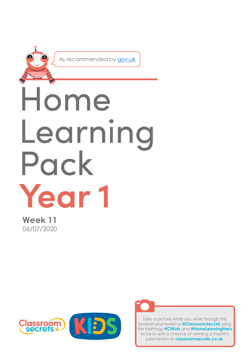

**Week 11** 06/07/2020





Take a picture while you work through this booklet and tweet us **@ClassroomSecLtd** using the hashtags **#CSKids** and **#HomeLearningHero** to be in with a chance of winning a month's subscription to **classroomsecrets.co.uk**.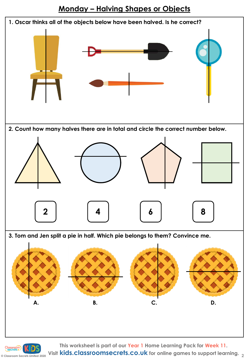



**© Classroom Secrets Limited 2020 Visit kids.classroomsecrets.co.uk for online games to support learning. <sup>2</sup>**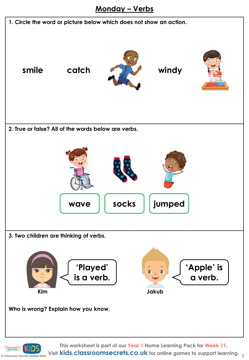#### **Monday – Verbs**

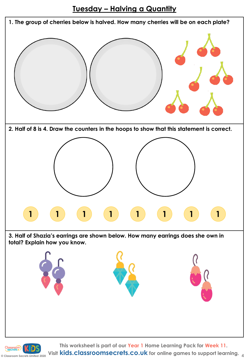#### **Tuesday – Halving a Quantity**

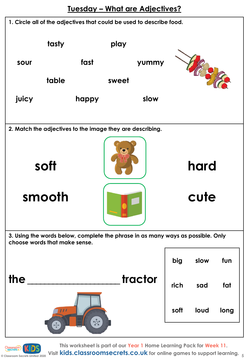

**This worksheet is part of our Year 1 Home Learning Pack for Week 11.**

**Consumed Apple 2020 5 Consumed 2020 Visit kids.classroomsecrets.co.uk** for online games to support learning.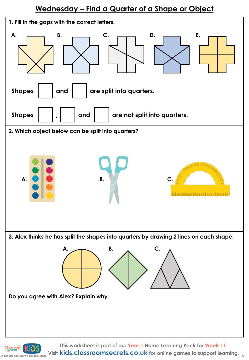#### **Wednesday – Find a Quarter of a Shape or Object**



**C** Classroom Secrets Limited 2020 Visit **kids.classroomsecrets.co.uk** for online games to support learning.  $\frac{1}{6}$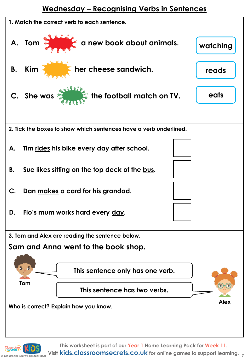#### **Wednesday – Recognising Verbs in Sentences**

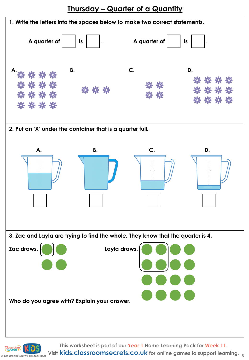**Thursday – Quarter of a Quantity**

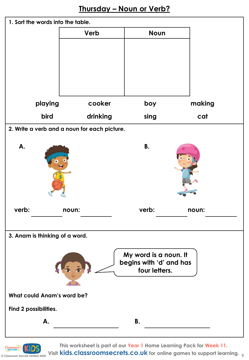

**© Classroom Secrets Limited 2020 9 Visit kids.classroomsecrets.co.uk for online games to support learning.This worksheet is part of our Year 1 Home Learning Pack for Week 11.**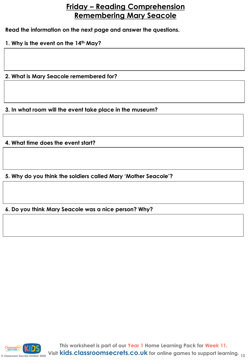#### **Friday – Reading Comprehension Remembering Mary Seacole**

**Read the information on the next page and answer the questions.**

**1. Why is the event on the 14th May?**

**2. What is Mary Seacole remembered for?**

**3. In what room will the event take place in the museum?** 

**4. What time does the event start?**

**5. Why do you think the soldiers called Mary 'Mother Seacole'?** 

**6. Do you think Mary Seacole was a nice person? Why?**